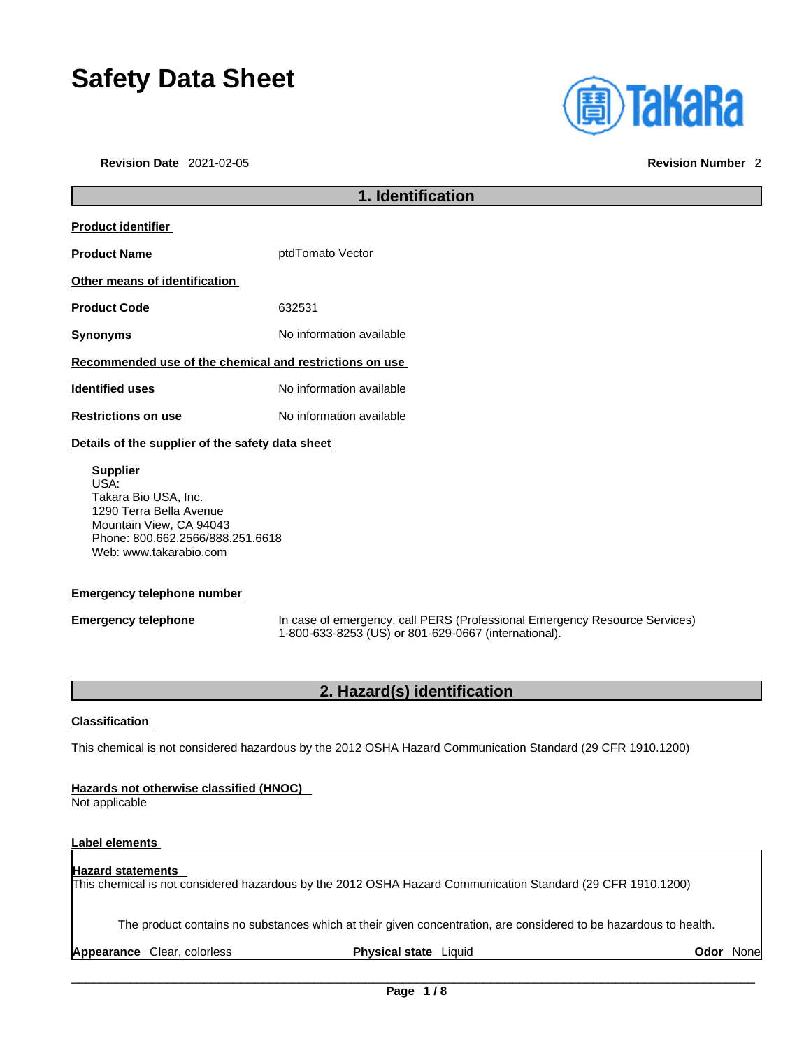# **Safety Data Sheet**

**Revision Date** 2021-02-05 **Revision Number** 2

| <b>(<u>a)</u> TaKaRa</b> |  |  |
|--------------------------|--|--|
|                          |  |  |
|                          |  |  |

|                                                         | 1. Identification        |  |
|---------------------------------------------------------|--------------------------|--|
| <b>Product identifier</b>                               |                          |  |
| <b>Product Name</b>                                     | ptdTomato Vector         |  |
| Other means of identification                           |                          |  |
| <b>Product Code</b>                                     | 632531                   |  |
| Synonyms                                                | No information available |  |
| Recommended use of the chemical and restrictions on use |                          |  |
| <b>Identified uses</b>                                  | No information available |  |
| <b>Restrictions on use</b>                              | No information available |  |
|                                                         |                          |  |

### **Details of the supplier of the safety data sheet**

**Supplier** USA: Takara Bio USA, Inc. 1290 Terra Bella Avenue Mountain View, CA 94043 Phone: 800.662.2566/888.251.6618 Web: www.takarabio.com

### **Emergency telephone number**

**Emergency telephone** In case of emergency, call PERS (Professional Emergency Resource Services) 1-800-633-8253 (US) or 801-629-0667 (international).

### **2. Hazard(s) identification**

### **Classification**

This chemical is not considered hazardous by the 2012 OSHA Hazard Communication Standard (29 CFR 1910.1200)

### **Hazards not otherwise classified (HNOC)**

Not applicable

### **Label elements**

### **Hazard statements**

This chemical is not considered hazardous by the 2012 OSHA Hazard Communication Standard (29 CFR 1910.1200)

The product contains no substances which at their given concentration, are considered to be hazardous to health.

**Appearance** Clear, colorless **Physical state** Liquid **Odor** None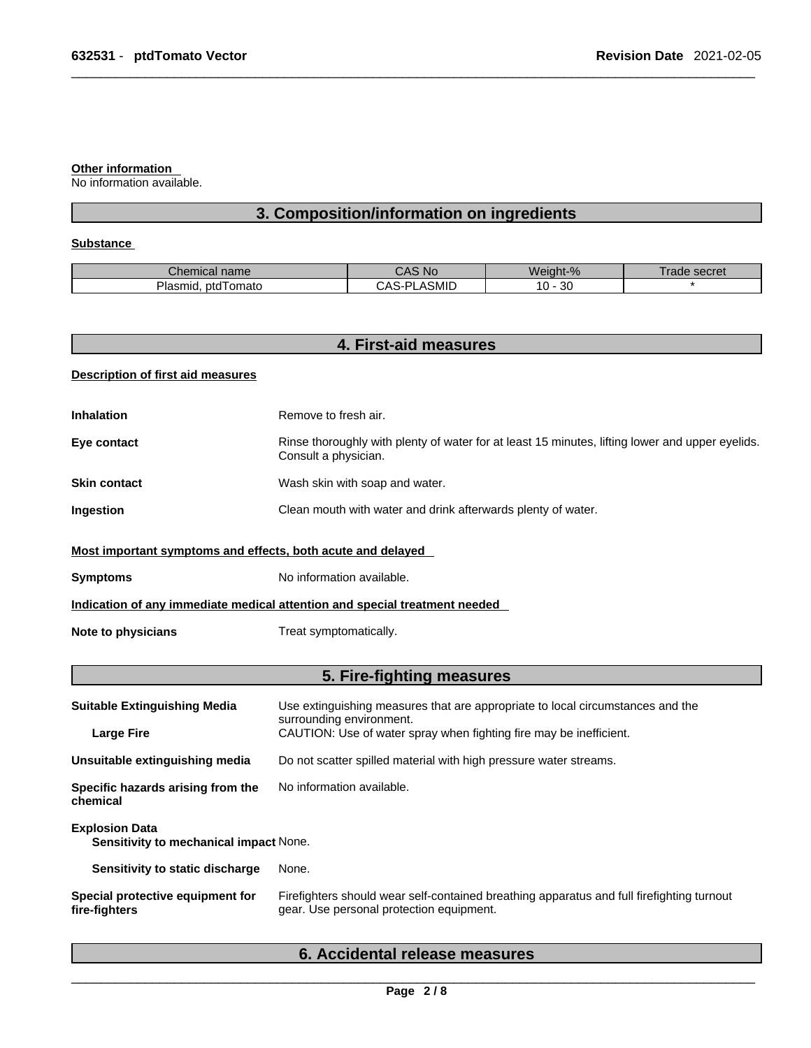### **Other information**

No information available.

## **3. Composition/information on ingredients**

### **Substance**

| name<br>Chemical               | <b>NC</b>                     | Weight-%            | secret<br>ade |
|--------------------------------|-------------------------------|---------------------|---------------|
| DI.<br>ptd I omato<br>Plasmid. | <b>SMID</b><br>וח<br>$\cdots$ | n o<br>$10 -$<br>υc |               |

| <b>Description of first aid measures</b><br><b>Inhalation</b><br>Eye contact<br><b>Skin contact</b> | Remove to fresh air.<br>Rinse thoroughly with plenty of water for at least 15 minutes, lifting lower and upper eyelids.<br>Consult a physician. |
|-----------------------------------------------------------------------------------------------------|-------------------------------------------------------------------------------------------------------------------------------------------------|
|                                                                                                     |                                                                                                                                                 |
|                                                                                                     |                                                                                                                                                 |
|                                                                                                     |                                                                                                                                                 |
|                                                                                                     | Wash skin with soap and water.                                                                                                                  |
| Ingestion                                                                                           | Clean mouth with water and drink afterwards plenty of water.                                                                                    |
| Most important symptoms and effects, both acute and delayed                                         |                                                                                                                                                 |
| <b>Symptoms</b>                                                                                     | No information available.                                                                                                                       |
|                                                                                                     | Indication of any immediate medical attention and special treatment needed                                                                      |
| <b>Note to physicians</b>                                                                           | Treat symptomatically.                                                                                                                          |
|                                                                                                     | 5. Fire-fighting measures                                                                                                                       |
| <b>Suitable Extinguishing Media</b>                                                                 | Use extinguishing measures that are appropriate to local circumstances and the<br>surrounding environment.                                      |
| <b>Large Fire</b>                                                                                   | CAUTION: Use of water spray when fighting fire may be inefficient.                                                                              |
| Unsuitable extinguishing media                                                                      | Do not scatter spilled material with high pressure water streams.                                                                               |
| Specific hazards arising from the<br>chemical                                                       | No information available.                                                                                                                       |
| <b>Explosion Data</b><br>Sensitivity to mechanical impact None.                                     |                                                                                                                                                 |
| Sensitivity to static discharge                                                                     | None.                                                                                                                                           |
| Special protective equipment for<br>fire-fighters                                                   | Firefighters should wear self-contained breathing apparatus and full firefighting turnout<br>gear. Use personal protection equipment.           |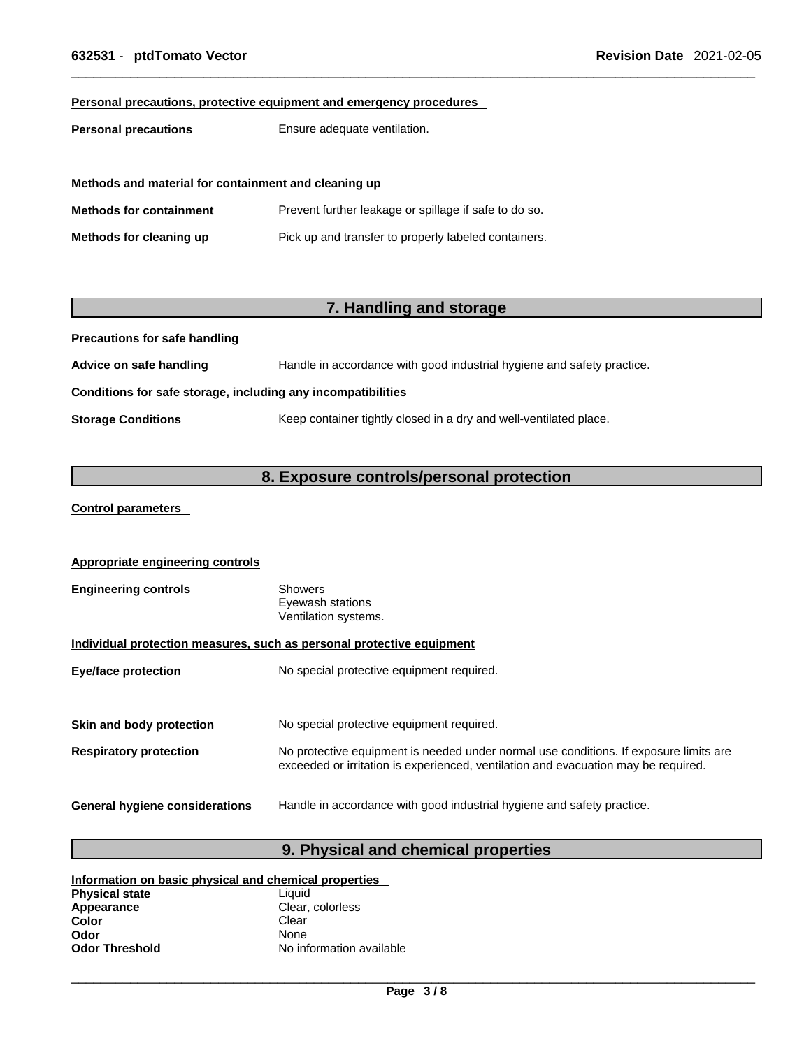### **Personal precautions, protective equipment and emergency procedures**

**Personal precautions** Ensure adequate ventilation.

| Methods and material for containment and cleaning up |                                                       |  |
|------------------------------------------------------|-------------------------------------------------------|--|
| <b>Methods for containment</b>                       | Prevent further leakage or spillage if safe to do so. |  |
| Methods for cleaning up                              | Pick up and transfer to properly labeled containers.  |  |

## **7. Handling and storage**

**Precautions for safe handling**

**Advice on safe handling** Handle in accordance with good industrial hygiene and safety practice.

### **Conditions for safe storage, including any incompatibilities**

**Storage Conditions** Keep container tightly closed in a dry and well-ventilated place.

## **8. Exposure controls/personal protection**

### **Control parameters**

| <b>Appropriate engineering controls</b>                               |                                                                                                                                                                             |  |  |
|-----------------------------------------------------------------------|-----------------------------------------------------------------------------------------------------------------------------------------------------------------------------|--|--|
| <b>Engineering controls</b>                                           | Showers<br>Eyewash stations<br>Ventilation systems.                                                                                                                         |  |  |
| Individual protection measures, such as personal protective equipment |                                                                                                                                                                             |  |  |
| <b>Eye/face protection</b>                                            | No special protective equipment required.                                                                                                                                   |  |  |
|                                                                       |                                                                                                                                                                             |  |  |
| Skin and body protection                                              | No special protective equipment required.                                                                                                                                   |  |  |
| <b>Respiratory protection</b>                                         | No protective equipment is needed under normal use conditions. If exposure limits are<br>exceeded or irritation is experienced, ventilation and evacuation may be required. |  |  |
| General hygiene considerations                                        | Handle in accordance with good industrial hygiene and safety practice.                                                                                                      |  |  |

## **9. Physical and chemical properties**

| Information on basic physical and chemical properties |                          |  |
|-------------------------------------------------------|--------------------------|--|
| <b>Physical state</b>                                 | Liauid                   |  |
| Appearance                                            | Clear, colorless         |  |
| Color                                                 | Clear                    |  |
| Odor                                                  | <b>None</b>              |  |
| <b>Odor Threshold</b>                                 | No information available |  |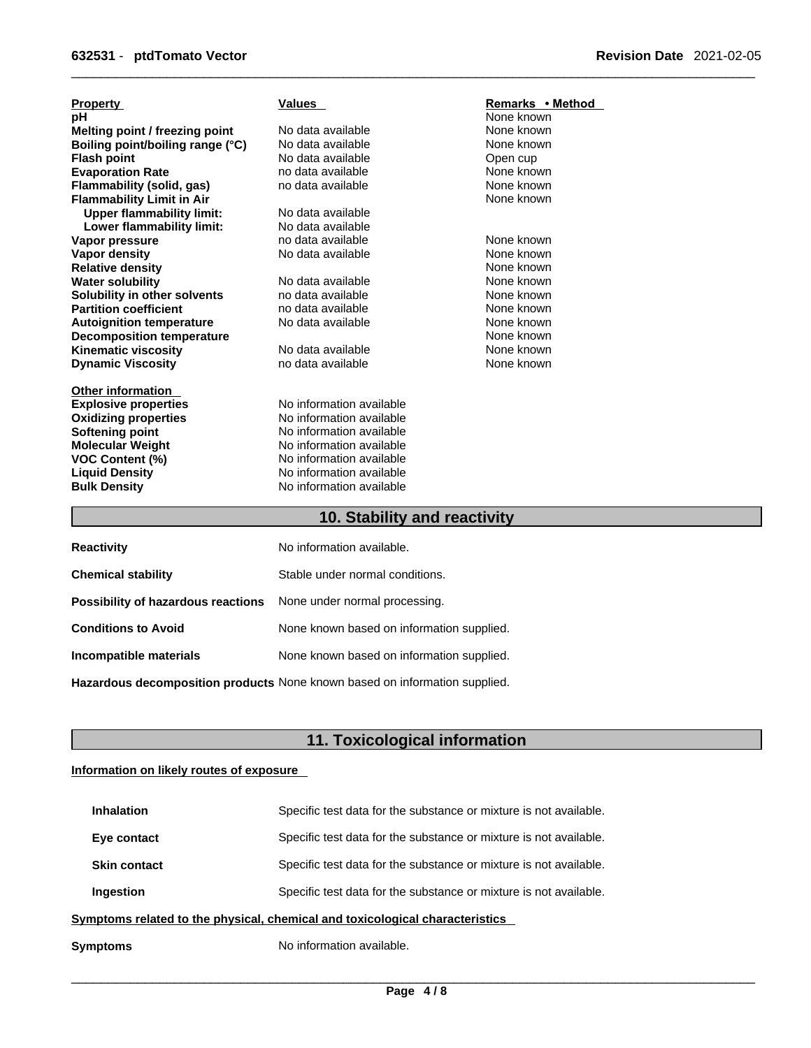| <b>Property</b>                  | <b>Values</b>            | Remarks • Method |
|----------------------------------|--------------------------|------------------|
| рH                               |                          | None known       |
| Melting point / freezing point   | No data available        | None known       |
| Boiling point/boiling range (°C) | No data available        | None known       |
| <b>Flash point</b>               | No data available        | Open cup         |
| <b>Evaporation Rate</b>          | no data available        | None known       |
| <b>Flammability (solid, gas)</b> | no data available        | None known       |
| <b>Flammability Limit in Air</b> |                          | None known       |
| <b>Upper flammability limit:</b> | No data available        |                  |
| Lower flammability limit:        | No data available        |                  |
| Vapor pressure                   | no data available        | None known       |
| <b>Vapor density</b>             | No data available        | None known       |
| <b>Relative density</b>          |                          | None known       |
| <b>Water solubility</b>          | No data available        | None known       |
| Solubility in other solvents     | no data available        | None known       |
| <b>Partition coefficient</b>     | no data available        | None known       |
| <b>Autoignition temperature</b>  | No data available        | None known       |
| <b>Decomposition temperature</b> |                          | None known       |
| Kinematic viscosity              | No data available        | None known       |
| <b>Dynamic Viscosity</b>         | no data available        | None known       |
| <b>Other information</b>         |                          |                  |
| <b>Explosive properties</b>      | No information available |                  |
| <b>Oxidizing properties</b>      | No information available |                  |
| Softening point                  | No information available |                  |
| <b>Molecular Weight</b>          | No information available |                  |
| <b>VOC Content (%)</b>           | No information available |                  |
| <b>Liquid Density</b>            | No information available |                  |
| <b>Bulk Density</b>              | No information available |                  |
| 10. Stability and reactivity     |                          |                  |

| <b>Reactivity</b>                  | No information available.                                                  |
|------------------------------------|----------------------------------------------------------------------------|
| <b>Chemical stability</b>          | Stable under normal conditions.                                            |
| Possibility of hazardous reactions | None under normal processing.                                              |
| <b>Conditions to Avoid</b>         | None known based on information supplied.                                  |
| Incompatible materials             | None known based on information supplied.                                  |
|                                    | Hazardous decomposition products None known based on information supplied. |

## **11. Toxicological information**

### **Information on likely routes of exposure**

| Symptoms                                                                     | No information available.                                         |  |
|------------------------------------------------------------------------------|-------------------------------------------------------------------|--|
| Symptoms related to the physical, chemical and toxicological characteristics |                                                                   |  |
| Ingestion                                                                    | Specific test data for the substance or mixture is not available. |  |
| <b>Skin contact</b>                                                          | Specific test data for the substance or mixture is not available. |  |
| Eye contact                                                                  | Specific test data for the substance or mixture is not available. |  |
| <b>Inhalation</b>                                                            | Specific test data for the substance or mixture is not available. |  |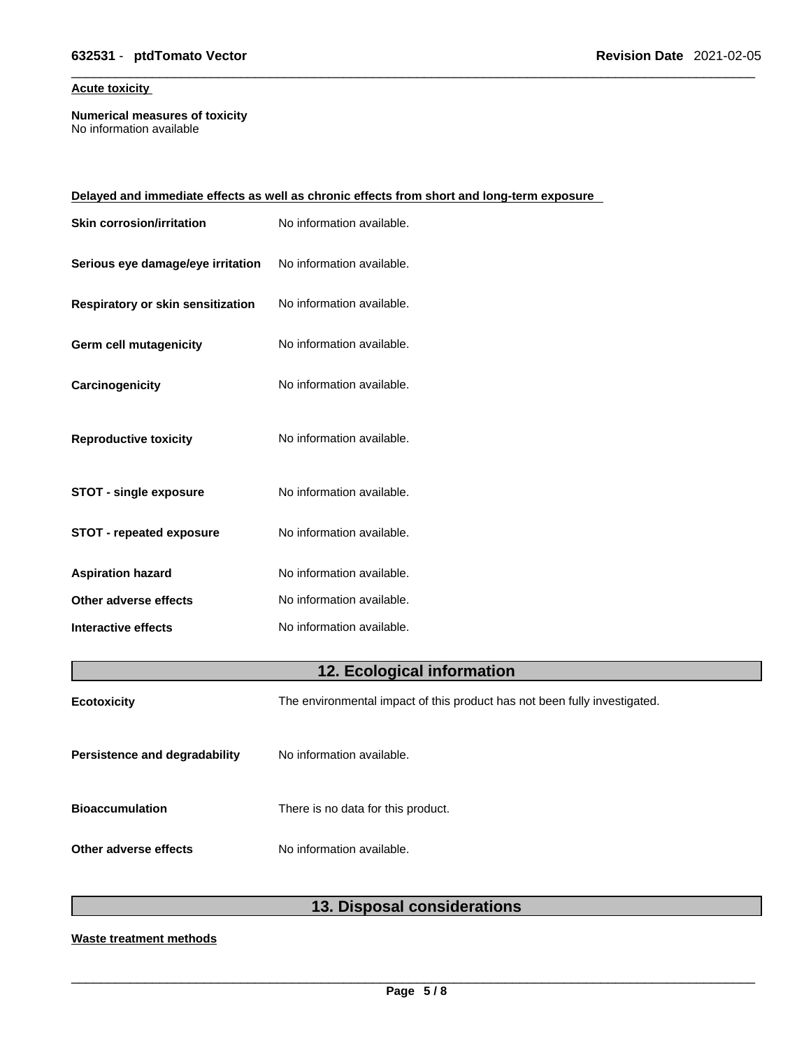### **Acute toxicity**

**Numerical measures of toxicity** No information available

|                                   | Delayed and immediate effects as well as chronic effects from short and long-term exposure |
|-----------------------------------|--------------------------------------------------------------------------------------------|
| <b>Skin corrosion/irritation</b>  | No information available.                                                                  |
| Serious eye damage/eye irritation | No information available.                                                                  |
| Respiratory or skin sensitization | No information available.                                                                  |
| <b>Germ cell mutagenicity</b>     | No information available.                                                                  |
| Carcinogenicity                   | No information available.                                                                  |
| <b>Reproductive toxicity</b>      | No information available.                                                                  |
| <b>STOT - single exposure</b>     | No information available.                                                                  |
| <b>STOT - repeated exposure</b>   | No information available.                                                                  |
| <b>Aspiration hazard</b>          | No information available.                                                                  |
| Other adverse effects             | No information available.                                                                  |
| Interactive effects               | No information available.                                                                  |
|                                   |                                                                                            |

## **12. Ecological information**

| <b>Ecotoxicity</b>                   | The environmental impact of this product has not been fully investigated. |
|--------------------------------------|---------------------------------------------------------------------------|
| <b>Persistence and degradability</b> | No information available.                                                 |
| <b>Bioaccumulation</b>               | There is no data for this product.                                        |
| Other adverse effects                | No information available.                                                 |

## **13. Disposal considerations**

### **Waste treatment methods**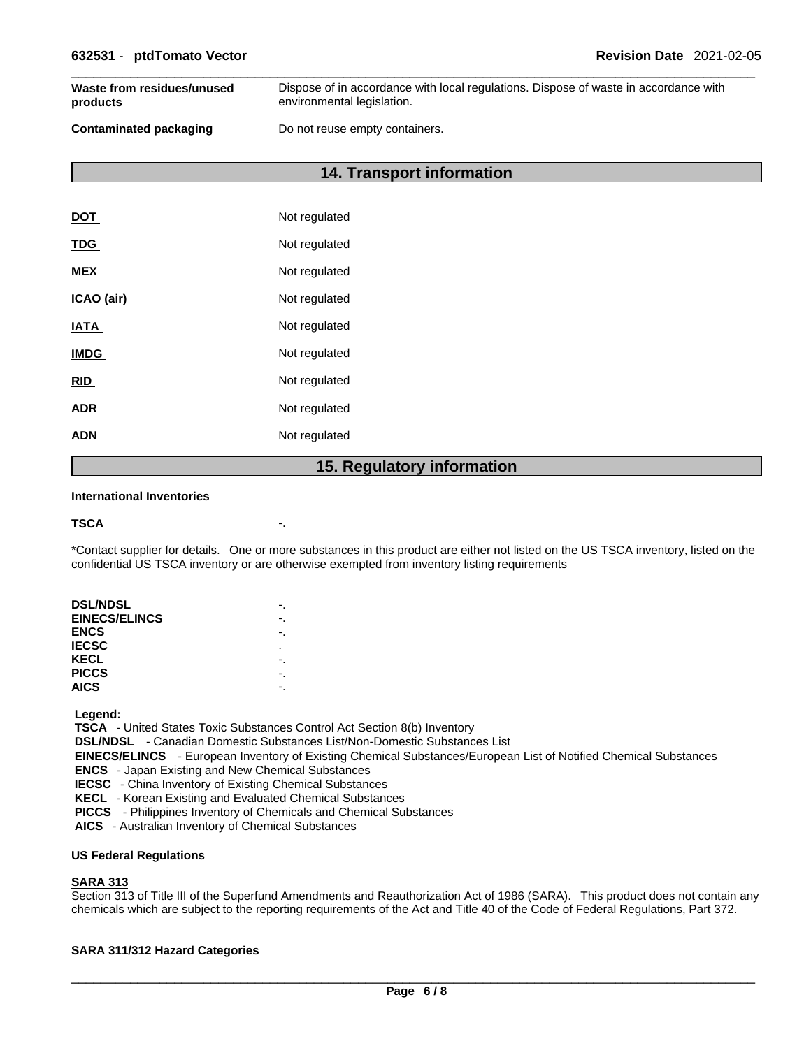| Waste from residues/unused    | Dispose of in accordance with local regulations. Dispose of waste in accordance with |
|-------------------------------|--------------------------------------------------------------------------------------|
| products                      | environmental legislation.                                                           |
| <b>Contaminated packaging</b> | Do not reuse empty containers.                                                       |

**14. Transport information** 

| <b>DOT</b>  | Not regulated |
|-------------|---------------|
| <b>TDG</b>  | Not regulated |
| <b>MEX</b>  | Not regulated |
| ICAO (air)  | Not regulated |
| <b>IATA</b> | Not regulated |
| <b>IMDG</b> | Not regulated |
| <b>RID</b>  | Not regulated |
| <b>ADR</b>  | Not regulated |
| ADN         | Not regulated |
|             |               |

### **15. Regulatory information**

### **International Inventories**

```
TSCA -.
```
\*Contact supplier for details. One or more substances in this product are either not listed on the US TSCA inventory, listed on the confidential US TSCA inventory or are otherwise exempted from inventory listing requirements

| <b>DSL/NDSL</b>      |    |  |
|----------------------|----|--|
| <b>EINECS/ELINCS</b> |    |  |
| <b>ENCS</b>          | -. |  |
| <b>IECSC</b>         | ٠  |  |
| KECL                 |    |  |
| <b>PICCS</b>         |    |  |
| <b>AICS</b>          |    |  |
|                      |    |  |

 **Legend:** 

 **TSCA** - United States Toxic Substances Control Act Section 8(b) Inventory

 **DSL/NDSL** - Canadian Domestic Substances List/Non-Domestic Substances List

 **EINECS/ELINCS** - European Inventory of Existing Chemical Substances/European List of Notified Chemical Substances

 **ENCS** - Japan Existing and New Chemical Substances

 **IECSC** - China Inventory of Existing Chemical Substances

 **KECL** - Korean Existing and Evaluated Chemical Substances

 **PICCS** - Philippines Inventory of Chemicals and Chemical Substances

 **AICS** - Australian Inventory of Chemical Substances

### **US Federal Regulations**

### **SARA 313**

Section 313 of Title III of the Superfund Amendments and Reauthorization Act of 1986 (SARA). This product does not contain any chemicals which are subject to the reporting requirements of the Act and Title 40 of the Code of Federal Regulations, Part 372.

### **SARA 311/312 Hazard Categories**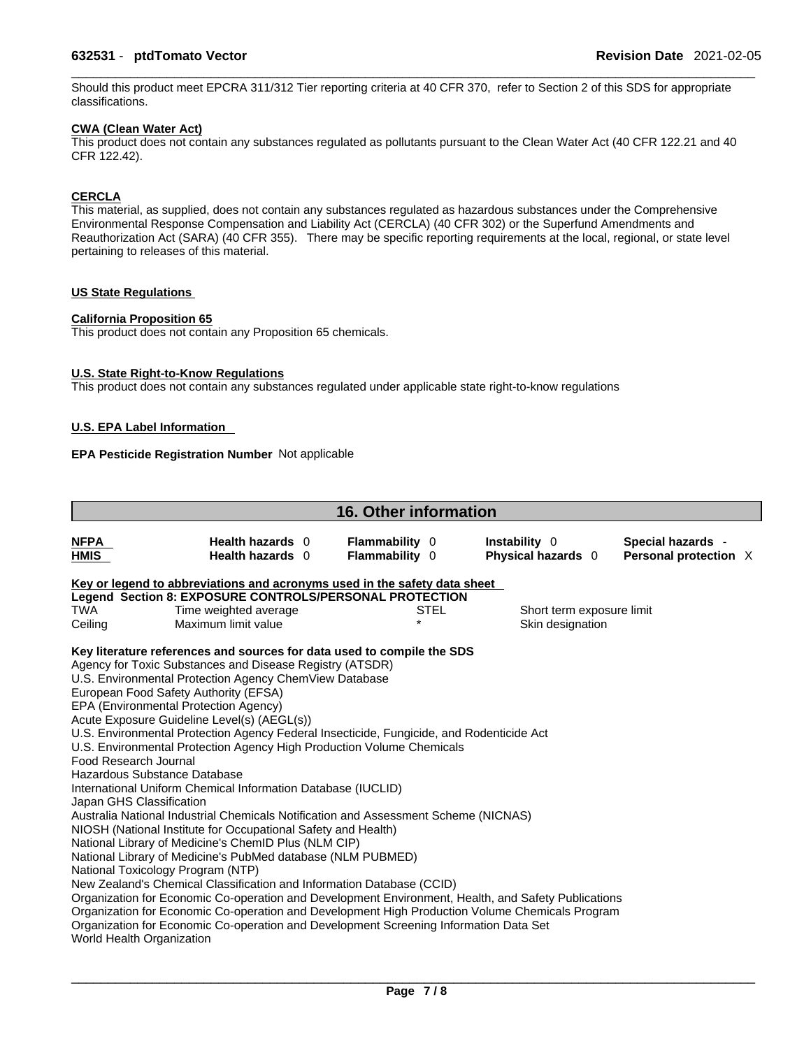### \_\_\_\_\_\_\_\_\_\_\_\_\_\_\_\_\_\_\_\_\_\_\_\_\_\_\_\_\_\_\_\_\_\_\_\_\_\_\_\_\_\_\_\_\_\_\_\_\_\_\_\_\_\_\_\_\_\_\_\_\_\_\_\_\_\_\_\_\_\_\_\_\_\_\_\_\_\_\_\_\_\_\_\_\_\_\_\_\_\_\_\_\_ **632531** - **ptdTomato Vector Revision Date** 2021-02-05

Should this product meet EPCRA 311/312 Tier reporting criteria at 40 CFR 370, refer to Section 2 of this SDS for appropriate classifications.

### **CWA (Clean WaterAct)**

This product does not contain any substances regulated as pollutants pursuant to the Clean Water Act (40 CFR 122.21 and 40 CFR 122.42).

### **CERCLA**

This material, as supplied, does not contain any substances regulated as hazardous substances under the Comprehensive Environmental Response Compensation and Liability Act (CERCLA) (40 CFR 302) or the Superfund Amendments and Reauthorization Act (SARA) (40 CFR 355). There may be specific reporting requirements at the local, regional, or state level pertaining to releases of this material.

### **US State Regulations**

### **California Proposition 65**

This product does not contain any Proposition 65 chemicals.

### **U.S. State Right-to-Know Regulations**

This product does not contain any substances regulated under applicable state right-to-know regulations

### **U.S. EPA Label Information**

### **EPA Pesticide Registration Number** Not applicable

|                            |                                                                                                                       | <b>16. Other information</b>                   |                                            |                                            |  |
|----------------------------|-----------------------------------------------------------------------------------------------------------------------|------------------------------------------------|--------------------------------------------|--------------------------------------------|--|
| <b>NFPA</b><br><b>HMIS</b> | Health hazards 0<br>Health hazards 0                                                                                  | <b>Flammability 0</b><br><b>Flammability</b> 0 | Instability 0<br><b>Physical hazards</b> 0 | Special hazards -<br>Personal protection X |  |
|                            | Key or legend to abbreviations and acronyms used in the safety data sheet                                             |                                                |                                            |                                            |  |
|                            | Legend Section 8: EXPOSURE CONTROLS/PERSONAL PROTECTION                                                               |                                                |                                            |                                            |  |
| <b>TWA</b>                 | Time weighted average                                                                                                 | STEL                                           |                                            | Short term exposure limit                  |  |
| Ceiling                    | Maximum limit value                                                                                                   | $\star$                                        |                                            | Skin designation                           |  |
|                            | Key literature references and sources for data used to compile the SDS                                                |                                                |                                            |                                            |  |
|                            | Agency for Toxic Substances and Disease Registry (ATSDR)                                                              |                                                |                                            |                                            |  |
|                            | U.S. Environmental Protection Agency ChemView Database                                                                |                                                |                                            |                                            |  |
|                            | European Food Safety Authority (EFSA)                                                                                 |                                                |                                            |                                            |  |
|                            | EPA (Environmental Protection Agency)                                                                                 |                                                |                                            |                                            |  |
|                            | Acute Exposure Guideline Level(s) (AEGL(s))                                                                           |                                                |                                            |                                            |  |
|                            | U.S. Environmental Protection Agency Federal Insecticide, Fungicide, and Rodenticide Act                              |                                                |                                            |                                            |  |
|                            | U.S. Environmental Protection Agency High Production Volume Chemicals                                                 |                                                |                                            |                                            |  |
| Food Research Journal      |                                                                                                                       |                                                |                                            |                                            |  |
|                            | Hazardous Substance Database                                                                                          |                                                |                                            |                                            |  |
|                            | International Uniform Chemical Information Database (IUCLID)                                                          |                                                |                                            |                                            |  |
| Japan GHS Classification   |                                                                                                                       |                                                |                                            |                                            |  |
|                            | Australia National Industrial Chemicals Notification and Assessment Scheme (NICNAS)                                   |                                                |                                            |                                            |  |
|                            | NIOSH (National Institute for Occupational Safety and Health)<br>National Library of Medicine's ChemID Plus (NLM CIP) |                                                |                                            |                                            |  |
|                            | National Library of Medicine's PubMed database (NLM PUBMED)                                                           |                                                |                                            |                                            |  |
|                            | National Toxicology Program (NTP)                                                                                     |                                                |                                            |                                            |  |
|                            | New Zealand's Chemical Classification and Information Database (CCID)                                                 |                                                |                                            |                                            |  |
|                            | Organization for Economic Co-operation and Development Environment, Health, and Safety Publications                   |                                                |                                            |                                            |  |
|                            | Organization for Economic Co-operation and Development High Production Volume Chemicals Program                       |                                                |                                            |                                            |  |
|                            | Organization for Economic Co-operation and Development Screening Information Data Set                                 |                                                |                                            |                                            |  |
| World Health Organization  |                                                                                                                       |                                                |                                            |                                            |  |
|                            |                                                                                                                       |                                                |                                            |                                            |  |